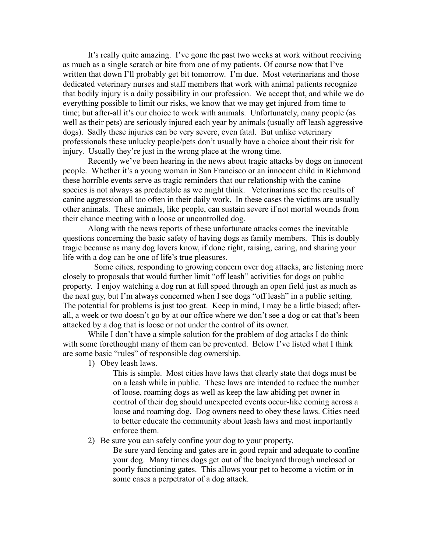It's really quite amazing. I've gone the past two weeks at work without receiving as much as a single scratch or bite from one of my patients. Of course now that I've written that down I'll probably get bit tomorrow. I'm due. Most veterinarians and those dedicated veterinary nurses and staff members that work with animal patients recognize that bodily injury is a daily possibility in our profession. We accept that, and while we do everything possible to limit our risks, we know that we may get injured from time to time; but after-all it's our choice to work with animals. Unfortunately, many people (as well as their pets) are seriously injured each year by animals (usually off leash aggressive dogs). Sadly these injuries can be very severe, even fatal. But unlike veterinary professionals these unlucky people/pets don't usually have a choice about their risk for injury. Usually they're just in the wrong place at the wrong time.

Recently we've been hearing in the news about tragic attacks by dogs on innocent people. Whether it's a young woman in San Francisco or an innocent child in Richmond these horrible events serve as tragic reminders that our relationship with the canine species is not always as predictable as we might think. Veterinarians see the results of canine aggression all too often in their daily work. In these cases the victims are usually other animals. These animals, like people, can sustain severe if not mortal wounds from their chance meeting with a loose or uncontrolled dog.

Along with the news reports of these unfortunate attacks comes the inevitable questions concerning the basic safety of having dogs as family members. This is doubly tragic because as many dog lovers know, if done right, raising, caring, and sharing your life with a dog can be one of life's true pleasures.

 Some cities, responding to growing concern over dog attacks, are listening more closely to proposals that would further limit "off leash" activities for dogs on public property. I enjoy watching a dog run at full speed through an open field just as much as the next guy, but I'm always concerned when I see dogs "off leash" in a public setting. The potential for problems is just too great. Keep in mind, I may be a little biased; afterall, a week or two doesn't go by at our office where we don't see a dog or cat that's been attacked by a dog that is loose or not under the control of its owner.

While I don't have a simple solution for the problem of dog attacks I do think with some forethought many of them can be prevented. Below I've listed what I think are some basic "rules" of responsible dog ownership.

1) Obey leash laws.

This is simple. Most cities have laws that clearly state that dogs must be on a leash while in public. These laws are intended to reduce the number of loose, roaming dogs as well as keep the law abiding pet owner in control of their dog should unexpected events occur-like coming across a loose and roaming dog. Dog owners need to obey these laws. Cities need to better educate the community about leash laws and most importantly enforce them.

## 2) Be sure you can safely confine your dog to your property.

Be sure yard fencing and gates are in good repair and adequate to confine your dog. Many times dogs get out of the backyard through unclosed or poorly functioning gates. This allows your pet to become a victim or in some cases a perpetrator of a dog attack.